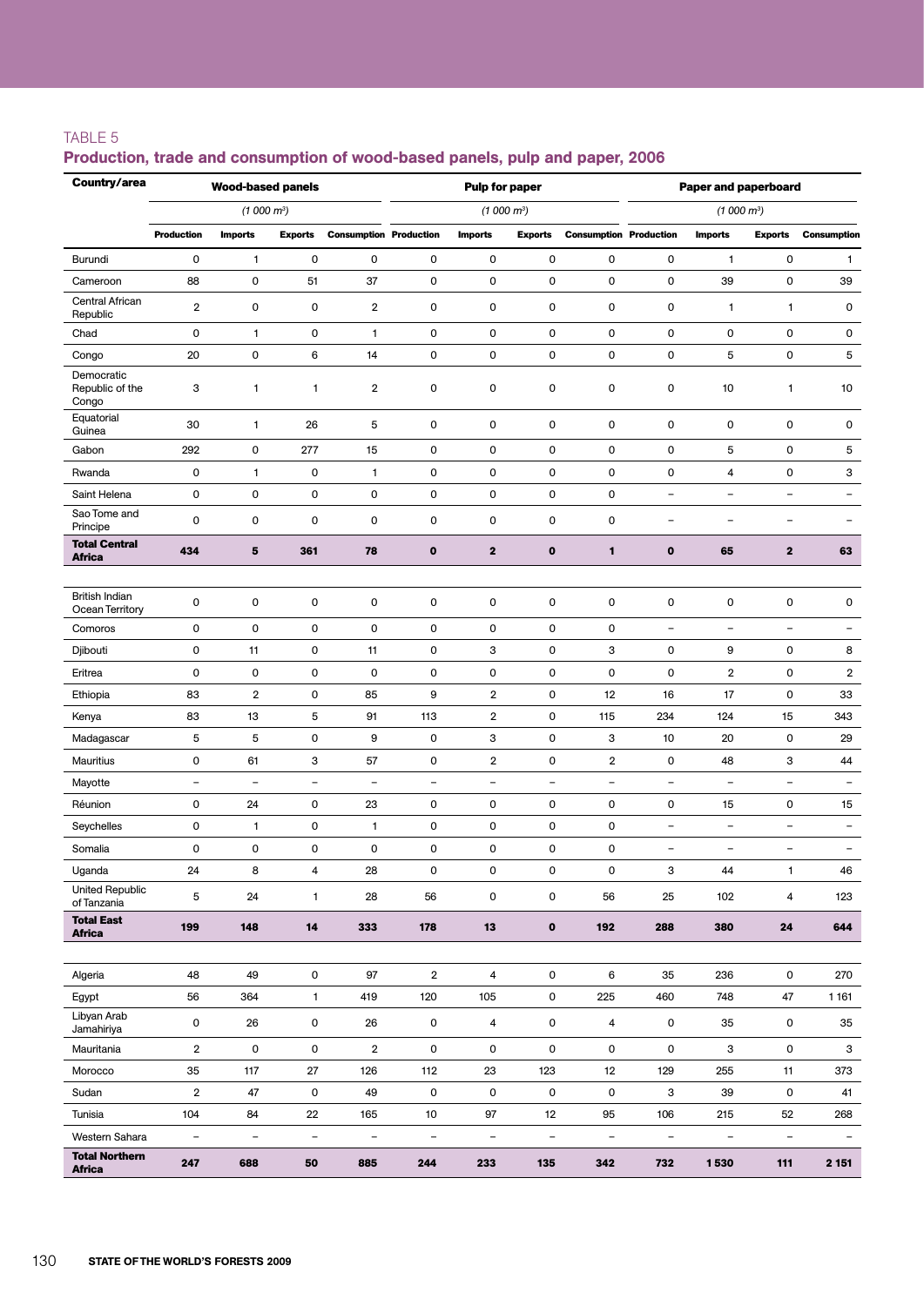### TABLE 5

#### Production, trade and consumption of wood-based panels, pulp and paper, 2006

| Country/area                             |                          | <b>Wood-based panels</b> |                          |                               |                          | Pulp for paper         |                          |                               | <b>Paper and paperboard</b> |                          |                          |                          |  |
|------------------------------------------|--------------------------|--------------------------|--------------------------|-------------------------------|--------------------------|------------------------|--------------------------|-------------------------------|-----------------------------|--------------------------|--------------------------|--------------------------|--|
|                                          |                          | (1000 m <sup>3</sup> )   |                          |                               |                          | (1000 m <sup>3</sup> ) |                          |                               |                             | (1000 m <sup>3</sup> )   |                          |                          |  |
|                                          | <b>Production</b>        | <b>Imports</b>           | <b>Exports</b>           | <b>Consumption Production</b> |                          | <b>Imports</b>         | <b>Exports</b>           | <b>Consumption Production</b> |                             | <b>Imports</b>           | <b>Exports</b>           | <b>Consumption</b>       |  |
| Burundi                                  | 0                        | 1                        | $\mathsf{O}\xspace$      | $\mathsf 0$                   | $\mathbf 0$              | 0                      | $\mathbf 0$              | 0                             | 0                           | $\mathbf{1}$             | 0                        | $\mathbf{1}$             |  |
| Cameroon                                 | 88                       | $\mathsf{O}\xspace$      | 51                       | 37                            | $\mathbf 0$              | 0                      | $\mathsf 0$              | 0                             | 0                           | 39                       | 0                        | 39                       |  |
| Central African<br>Republic              | $\overline{2}$           | $\mathsf{O}\xspace$      | $\mathsf{O}\xspace$      | $\overline{\mathbf{2}}$       | $\mathbf 0$              | 0                      | $\mathbf 0$              | 0                             | 0                           | 1                        | $\mathbf{1}$             | 0                        |  |
| Chad                                     | 0                        | 1                        | $\mathsf{O}\xspace$      | 1                             | 0                        | 0                      | 0                        | 0                             | 0                           | 0                        | 0                        | 0                        |  |
| Congo                                    | 20                       | $\mathbf 0$              | 6                        | 14                            | $\mathsf 0$              | 0                      | $\mathsf 0$              | 0                             | $\mathsf 0$                 | 5                        | 0                        | 5                        |  |
| Democratic<br>Republic of the<br>Congo   | 3                        | 1                        | 1                        | 2                             | $\mathsf 0$              | $\mathsf 0$            | $\mathbf 0$              | 0                             | $\mathbf 0$                 | 10                       | $\mathbf{1}$             | 10                       |  |
| Equatorial<br>Guinea                     | 30                       | 1                        | 26                       | 5                             | $\mathbf 0$              | 0                      | $\mathbf 0$              | 0                             | $\mathbf 0$                 | 0                        | 0                        | 0                        |  |
| Gabon                                    | 292                      | $\mathsf{O}\xspace$      | 277                      | 15                            | 0                        | 0                      | $\mathbf 0$              | 0                             | 0                           | 5                        | 0                        | 5                        |  |
| Rwanda                                   | 0                        | 1                        | $\mathsf{O}\xspace$      | 1                             | 0                        | 0                      | 0                        | 0                             | 0                           | 4                        | 0                        | з                        |  |
| Saint Helena                             | 0                        | $\mathsf{O}\xspace$      | $\mathsf{O}\xspace$      | $\mathbf 0$                   | $\mathbf 0$              | 0                      | $\mathbf 0$              | 0                             | $\overline{a}$              | -                        | $\overline{a}$           | $\overline{\phantom{0}}$ |  |
| Sao Tome and<br>Principe                 | 0                        | $\pmb{0}$                | $\pmb{0}$                | $\mathsf{O}\xspace$           | 0                        | 0                      | $\mathsf{O}$             | $\mathsf 0$                   | -                           | ۳                        | ÷                        | $\qquad \qquad -$        |  |
| <b>Total Central</b><br><b>Africa</b>    | 434                      | 5                        | 361                      | 78                            | $\mathbf{o}$             | $\mathbf 2$            | $\mathbf{o}$             | 1                             | $\mathbf 0$                 | 65                       | $\overline{\mathbf{2}}$  | 63                       |  |
|                                          |                          |                          |                          |                               |                          |                        |                          |                               |                             |                          |                          |                          |  |
| <b>British Indian</b><br>Ocean Territory | 0                        | $\mathsf{O}\xspace$      | $\mathsf{O}\xspace$      | $\mathsf{O}\xspace$           | $\mathbf 0$              | 0                      | 0                        | 0                             | 0                           | 0                        | 0                        | 0                        |  |
| Comoros                                  | 0                        | $\pmb{0}$                | $\mathsf{O}\xspace$      | $\mathsf{O}\xspace$           | 0                        | 0                      | $\mathbf 0$              | 0                             | $\overline{\phantom{0}}$    | $\overline{\phantom{a}}$ | $\qquad \qquad -$        | $\overline{\phantom{a}}$ |  |
| Djibouti                                 | 0                        | 11                       | $\mathsf{O}\xspace$      | 11                            | 0                        | 3                      | $\mathbf 0$              | 3                             | 0                           | 9                        | 0                        | 8                        |  |
| Eritrea                                  | 0                        | 0                        | $\mathsf{O}\xspace$      | 0                             | 0                        | 0                      | 0                        | 0                             | 0                           | $\overline{\mathbf{c}}$  | 0                        | $\overline{2}$           |  |
| Ethiopia                                 | 83                       | $\overline{2}$           | $\mathsf{O}\xspace$      | 85                            | 9                        | 2                      | 0                        | 12                            | 16                          | 17                       | 0                        | 33                       |  |
| Kenya                                    | 83                       | 13                       | 5                        | 91                            | 113                      | $\overline{2}$         | $\mathbf 0$              | 115                           | 234                         | 124                      | 15                       | 343                      |  |
| Madagascar                               | 5                        | 5                        | $\mathsf{O}\xspace$      | 9                             | 0                        | 3                      | 0                        | 3                             | 10                          | 20                       | 0                        | 29                       |  |
| Mauritius                                | 0                        | 61                       | 3                        | 57                            | 0                        | 2                      | 0                        | 2                             | 0                           | 48                       | 3                        | 44                       |  |
| Mayotte                                  | $\overline{\phantom{a}}$ | $\overline{\phantom{a}}$ | $\overline{\phantom{m}}$ | $\overline{\phantom{m}}$      | $\overline{\phantom{a}}$ | $\qquad \qquad -$      | $\overline{\phantom{0}}$ | $\overline{\phantom{0}}$      | $\overline{a}$              | $\overline{\phantom{0}}$ | $\qquad \qquad -$        | $\overline{\phantom{a}}$ |  |
| Réunion                                  | 0                        | 24                       | $\pmb{0}$                | 23                            | $\pmb{0}$                | 0                      | $\mathbf 0$              | $\mathsf 0$                   | $\pmb{0}$                   | 15                       | $\pmb{0}$                | 15                       |  |
| Seychelles                               | 0                        | 1                        | $\mathsf{O}\xspace$      | 1                             | 0                        | 0                      | 0                        | 0                             | $\overline{\phantom{0}}$    | $\overline{\phantom{0}}$ | $\overline{\phantom{a}}$ | $\overline{\phantom{0}}$ |  |
| Somalia                                  | 0                        | $\mathbf 0$              | $\mathbf 0$              | 0                             | $\mathbf 0$              | 0                      | $\mathbf 0$              | 0                             | $\overline{\phantom{0}}$    | $\overline{\phantom{0}}$ | $\overline{\phantom{0}}$ | $\qquad \qquad -$        |  |
| Uganda<br><b>United Republic</b>         | 24                       | 8                        | 4                        | 28                            | 0                        | 0                      | 0                        | 0                             | 3                           | 44                       | $\mathbf{1}$             | 46                       |  |
| of Tanzania                              | 5                        | 24                       | $\mathbf{1}$             | 28                            | 56                       | $\mathsf{O}\xspace$    | $\mathsf 0$              | 56                            | 25                          | 102                      | 4                        | 123                      |  |
| <b>Total East</b><br><b>Africa</b>       | 199                      | 148                      | 14                       | 333                           | 178                      | ${\bf 13}$             | $\mathbf{o}$             | 192                           | 288                         | 380                      | 24                       | 644                      |  |
|                                          |                          |                          |                          |                               |                          |                        |                          |                               |                             |                          |                          |                          |  |
| Algeria                                  | 48                       | 49                       | 0                        | 97                            | $\overline{\mathbf{2}}$  | 4                      | $\mathsf 0$              | 6                             | 35                          | 236                      | 0                        | 270                      |  |
| Egypt                                    | 56                       | 364                      | $\mathbf{1}$             | 419                           | 120                      | 105                    | $\mathsf{O}\xspace$      | 225                           | 460                         | 748                      | 47                       | 1 1 6 1                  |  |
| Libyan Arab<br>Jamahiriya                | $\mathsf{O}\xspace$      | 26                       | $\mathsf{O}\xspace$      | 26                            | $\mathsf{O}\xspace$      | 4                      | $\mathsf 0$              | 4                             | $\mathsf{O}$                | 35                       | $\mathsf{O}$             | 35                       |  |
| Mauritania                               | $\overline{\mathbf{c}}$  | 0                        | $\mathsf 0$              | $\overline{\mathbf{c}}$       | 0                        | 0                      | $\mathsf{O}$             | 0                             | $\mathsf{O}\xspace$         | 3                        | $\mathsf{O}\xspace$      | 3                        |  |
| Morocco                                  | 35                       | 117                      | 27                       | 126                           | 112                      | 23                     | 123                      | 12                            | 129                         | 255                      | 11                       | 373                      |  |
| Sudan                                    | $\overline{\mathbf{c}}$  | 47                       | $\mathsf{O}\xspace$      | 49                            | $\mathsf 0$              | $\mathsf 0$            | $\mathsf 0$              | $\mathsf 0$                   | 3                           | 39                       | $\mathsf{O}$             | 41                       |  |
| Tunisia                                  | 104                      | 84                       | 22                       | 165                           | 10                       | 97                     | 12                       | 95                            | 106                         | 215                      | 52                       | 268                      |  |
| Western Sahara                           | $\overline{\phantom{a}}$ | $\qquad \qquad -$        | $\qquad \qquad -$        | $\overline{\phantom{0}}$      | $\overline{\phantom{0}}$ | -                      | $\overline{\phantom{0}}$ | $\overline{\phantom{0}}$      | -                           | -                        | -                        |                          |  |
| <b>Total Northern</b><br><b>Africa</b>   | 247                      | 688                      | 50                       | 885                           | 244                      | 233                    | 135                      | 342                           | 732                         | 1530                     | $111$                    | 2 1 5 1                  |  |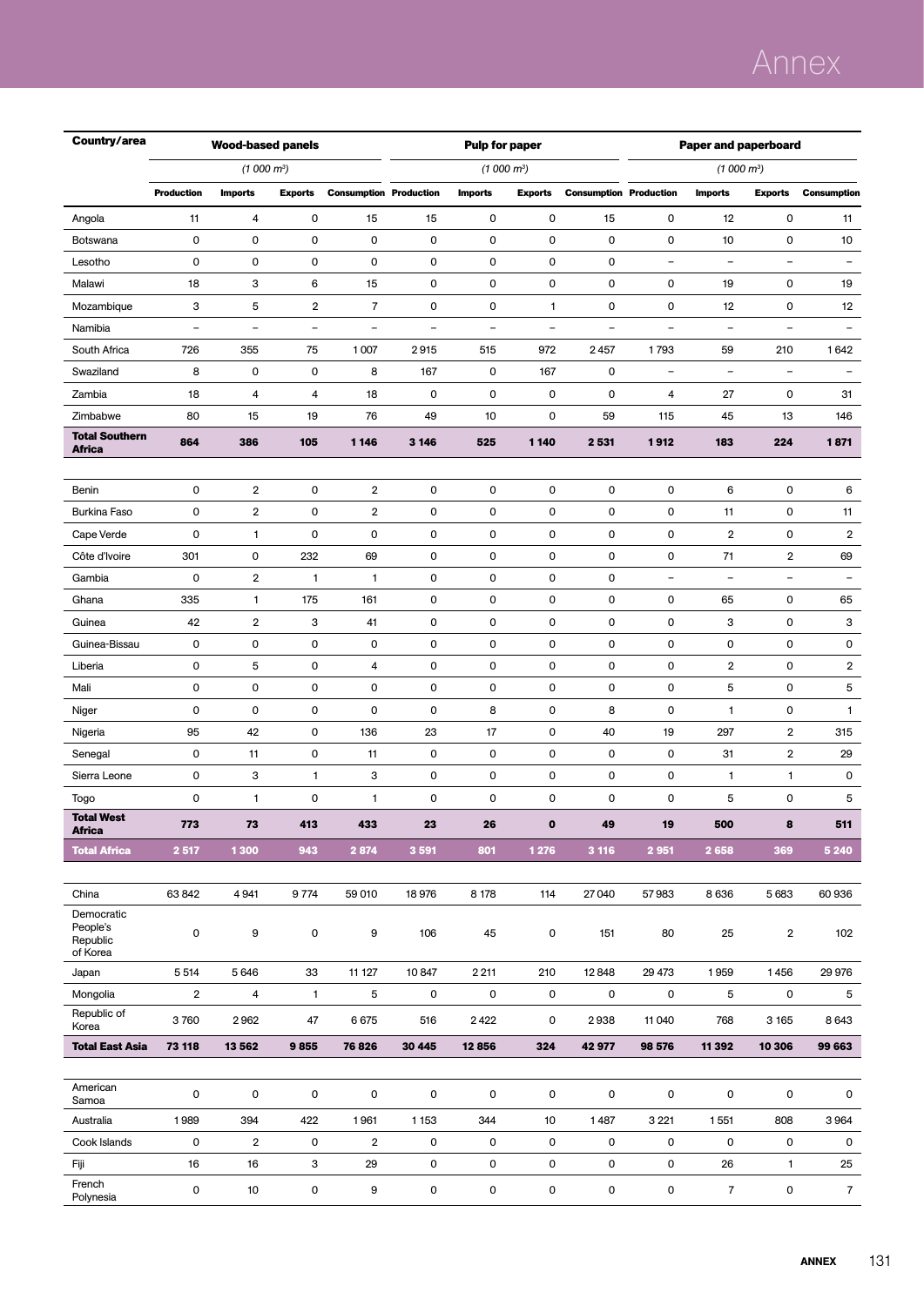# Annex

| Country/area                           |                          | <b>Wood-based panels</b> |                          |                               |                          | Pulp for paper       |                          |                               | <b>Paper and paperboard</b> |                          |                |                          |  |
|----------------------------------------|--------------------------|--------------------------|--------------------------|-------------------------------|--------------------------|----------------------|--------------------------|-------------------------------|-----------------------------|--------------------------|----------------|--------------------------|--|
|                                        |                          | $(1000 m^3)$             |                          |                               |                          | $(1000 \text{ m}^3)$ |                          |                               |                             | (1000 m <sup>3</sup> )   |                |                          |  |
|                                        | <b>Production</b>        | <b>Imports</b>           | <b>Exports</b>           | <b>Consumption Production</b> |                          | <b>Imports</b>       | <b>Exports</b>           | <b>Consumption Production</b> |                             | <b>Imports</b>           | <b>Exports</b> | <b>Consumption</b>       |  |
| Angola                                 | 11                       | 4                        | $\mathsf{O}\xspace$      | 15                            | 15                       | 0                    | 0                        | 15                            | 0                           | 12                       | 0              | 11                       |  |
| Botswana                               | $\mathsf{O}\xspace$      | 0                        | 0                        | 0                             | 0                        | 0                    | 0                        | 0                             | 0                           | 10                       | 0              | 10                       |  |
| Lesotho                                | $\pmb{0}$                | $\mathsf 0$              | $\pmb{0}$                | 0                             | 0                        | 0                    | $\mathsf 0$              | 0                             | $\qquad \qquad -$           | $\overline{\phantom{0}}$ | $\overline{a}$ | $\overline{\phantom{m}}$ |  |
| Malawi                                 | 18                       | 3                        | 6                        | 15                            | 0                        | 0                    | 0                        | 0                             | 0                           | 19                       | $\mathbf 0$    | 19                       |  |
| Mozambique                             | 3                        | 5                        | $\overline{2}$           | $\overline{7}$                | 0                        | 0                    | $\mathbf{1}$             | 0                             | 0                           | 12                       | $\mathbf 0$    | 12                       |  |
| Namibia                                | $\overline{\phantom{0}}$ | $\overline{\phantom{0}}$ | $\overline{\phantom{0}}$ | $\overline{\phantom{0}}$      | $\overline{\phantom{a}}$ | $\equiv$             | $\overline{\phantom{a}}$ | $\overline{\phantom{0}}$      | $\overline{\phantom{0}}$    | $\overline{\phantom{0}}$ | L,             | $\qquad \qquad -$        |  |
| South Africa                           | 726                      | 355                      | 75                       | 1007                          | 2915                     | 515                  | 972                      | 2457                          | 1793                        | 59                       | 210            | 1642                     |  |
| Swaziland                              | 8                        | 0                        | $\mathsf{O}\xspace$      | 8                             | 167                      | 0                    | 167                      | 0                             | $\qquad \qquad -$           | $\qquad \qquad -$        | $\overline{a}$ | $\overline{\phantom{0}}$ |  |
| Zambia                                 | 18                       | 4                        | 4                        | 18                            | 0                        | 0                    | 0                        | 0                             | 4                           | 27                       | $\mathbf 0$    | 31                       |  |
| Zimbabwe                               | 80                       | 15                       | 19                       | 76                            | 49                       | 10                   | 0                        | 59                            | 115                         | 45                       | 13             | 146                      |  |
| <b>Total Southern</b><br><b>Africa</b> | 864                      | 386                      | 105                      | 1 1 4 6                       | 3 1 4 6                  | 525                  | 1 140                    | 2 5 3 1                       | 1912                        | 183                      | 224            | 1871                     |  |
|                                        |                          |                          |                          |                               |                          |                      |                          |                               |                             |                          |                |                          |  |
| Benin                                  | $\mathsf{O}\xspace$      | 2                        | 0                        | 2                             | 0                        | 0                    | $\mathsf 0$              | 0                             | 0                           | 6                        | 0              | 6                        |  |
| <b>Burkina Faso</b>                    | $\mathsf{O}\xspace$      | 2                        | $\mathsf{O}\xspace$      | 2                             | 0                        | 0                    | 0                        | 0                             | 0                           | 11                       | $\mathbf 0$    | 11                       |  |
| Cape Verde                             | $\mathsf{O}\xspace$      | 1                        | 0                        | 0                             | 0                        | 0                    | $\mathsf 0$              | 0                             | 0                           | 2                        | $\mathbf 0$    | $\overline{2}$           |  |
| Côte d'Ivoire                          | 301                      | 0                        | 232                      | 69                            | 0                        | 0                    | 0                        | 0                             | 0                           | 71                       | 2              | 69                       |  |
| Gambia                                 | $\pmb{0}$                | 2                        | 1                        | 1                             | 0                        | 0                    | $\mathsf 0$              | 0                             | $\overline{\phantom{0}}$    | $\overline{\phantom{0}}$ | $\overline{a}$ | $\qquad \qquad -$        |  |
| Ghana                                  | 335                      | 1                        | 175                      | 161                           | 0                        | 0                    | 0                        | 0                             | 0                           | 65                       | $\mathbf 0$    | 65                       |  |
| Guinea                                 | 42                       | 2                        | 3                        | 41                            | 0                        | 0                    | 0                        | 0                             | 0                           | 3                        | $\mathbf 0$    | 3                        |  |
| Guinea-Bissau                          | $\mathsf{O}\xspace$      | 0                        | $\mathsf{O}\xspace$      | 0                             | 0                        | 0                    | 0                        | 0                             | 0                           | 0                        | $\mathbf 0$    | 0                        |  |
| Liberia                                | 0                        | 5                        | $\mathsf{O}\xspace$      | 4                             | 0                        | 0                    | 0                        | 0                             | 0                           | $\overline{\mathbf{c}}$  | $\mathbf 0$    | $\overline{2}$           |  |
| Mali                                   | $\mathsf{O}\xspace$      | $\mathsf 0$              | $\mathsf{O}\xspace$      | 0                             | 0                        | 0                    | 0                        | 0                             | 0                           | 5                        | $\mathbf 0$    | 5                        |  |
| Niger                                  | $\mathsf{O}\xspace$      | 0                        | $\mathsf{O}\xspace$      | 0                             | 0                        | 8                    | 0                        | 8                             | 0                           | 1                        | $\mathbf 0$    | $\mathbf{1}$             |  |
| Nigeria                                | 95                       | 42                       | 0                        | 136                           | 23                       | 17                   | 0                        | 40                            | 19                          | 297                      | 2              | 315                      |  |
| Senegal                                | $\mathsf{O}\xspace$      | 11                       | $\mathsf{O}\xspace$      | 11                            | 0                        | 0                    | 0                        | 0                             | 0                           | 31                       | 2              | 29                       |  |
| Sierra Leone                           | 0                        | 3                        | 1                        | 3                             | 0                        | 0                    | $\pmb{0}$                | 0                             | $\mathsf 0$                 | 1                        | 1              | 0                        |  |
| Togo<br><b>Total West</b>              | $\mathsf{O}\xspace$      | 1                        | 0                        | 1                             | 0                        | 0                    | 0                        | 0                             | 0                           | 5                        | 0              | 5                        |  |
| <b>Africa</b>                          | 773                      | $73$                     | 413                      | 433                           | 23                       | 26                   | $\pmb{\mathsf{o}}$       | 49                            | $19$                        | 500                      | 8              | 511                      |  |
| <b>Total Africa</b>                    | 2 5 1 7                  | 1300                     | 943                      | 2 874                         | 3 5 9 1                  | 801                  | 1 2 7 6                  | 3 1 1 6                       | 2951                        | 2 6 5 8                  | 369            | 5 2 4 0                  |  |
|                                        |                          |                          |                          |                               |                          |                      |                          |                               |                             |                          |                |                          |  |
| China<br>Democratic                    | 63842                    | 4941                     | 9 7 7 4                  | 59 010                        | 18976                    | 8 178                | 114                      | 27 04 0                       | 57983                       | 8636                     | 5 6 8 3        | 60936                    |  |
| People's<br>Republic<br>of Korea       | 0                        | 9                        | 0                        | 9                             | 106                      | 45                   | 0                        | 151                           | 80                          | 25                       | $\overline{2}$ | 102                      |  |
| Japan                                  | 5 5 1 4                  | 5646                     | 33                       | 11 127                        | 10847                    | 2 2 1 1              | 210                      | 12848                         | 29 473                      | 1959                     | 1456           | 29 976                   |  |
| Mongolia                               | $\overline{2}$           | 4                        | $\mathbf{1}$             | 5                             | 0                        | 0                    | 0                        | 0                             | 0                           | 5                        | 0              | 5                        |  |
| Republic of<br>Korea                   | 3760                     | 2962                     | 47                       | 6675                          | 516                      | 2422                 | 0                        | 2938                          | 11 04 0                     | 768                      | 3 1 6 5        | 8643                     |  |
| <b>Total East Asia</b>                 | 73 118                   | 13 562                   | 9855                     | 76826                         | 30 4 45                  | 12856                | 324                      | 42 977                        | 98 576                      | 11 392                   | 10 306         | 99 663                   |  |
|                                        |                          |                          |                          |                               |                          |                      |                          |                               |                             |                          |                |                          |  |
| American<br>Samoa                      | $\mathsf 0$              | 0                        | $\pmb{0}$                | 0                             | 0                        | 0                    | 0                        | 0                             | 0                           | 0                        | 0              | 0                        |  |
| Australia                              | 1989                     | 394                      | 422                      | 1961                          | 1 1 5 3                  | 344                  | 10                       | 1487                          | 3 2 2 1                     | 1551                     | 808            | 3964                     |  |
| Cook Islands                           | 0                        | $\mathbf 2$              | 0                        | $\overline{2}$                | 0                        | 0                    | 0                        | 0                             | 0                           | 0                        | 0              | 0                        |  |
| Fiji                                   | 16                       | 16                       | 3                        | 29                            | 0                        | 0                    | 0                        | 0                             | $\mathsf{O}\xspace$         | 26                       | $\mathbf{1}$   | 25                       |  |
| French<br>Polynesia                    | 0                        | 10                       | 0                        | 9                             | 0                        | 0                    | 0                        | 0                             | 0                           | $\overline{7}$           | $\mathsf 0$    | $\overline{7}$           |  |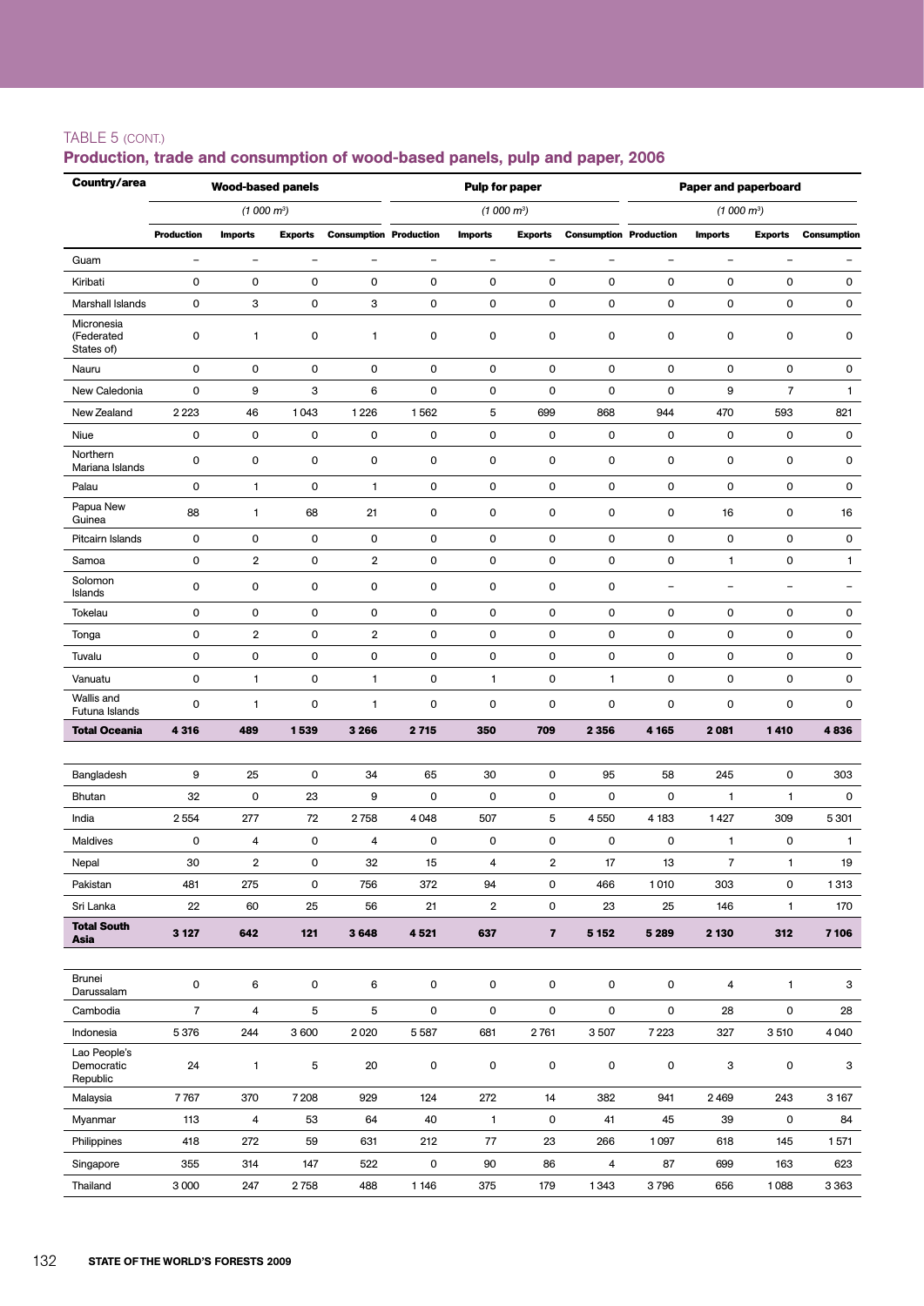#### TABLE 5 (cont.)

#### Production, trade and consumption of wood-based panels, pulp and paper, 2006

| Country/area                           |                     | <b>Wood-based panels</b><br><b>Pulp for paper</b><br><b>Paper and paperboard</b> |                          |                               |                     |                         |                          |                               |                   |                          |                          |                          |
|----------------------------------------|---------------------|----------------------------------------------------------------------------------|--------------------------|-------------------------------|---------------------|-------------------------|--------------------------|-------------------------------|-------------------|--------------------------|--------------------------|--------------------------|
|                                        |                     | (1000 m <sup>3</sup> )                                                           |                          |                               |                     |                         | (1000 m <sup>3</sup> )   |                               |                   | (1000 m <sup>3</sup> )   |                          |                          |
|                                        | <b>Production</b>   | <b>Imports</b>                                                                   | <b>Exports</b>           | <b>Consumption Production</b> |                     | <b>Imports</b>          | <b>Exports</b>           | <b>Consumption Production</b> |                   | <b>Imports</b>           | <b>Exports</b>           | Consumption              |
| Guam                                   | $\qquad \qquad -$   | $\qquad \qquad -$                                                                | $\overline{\phantom{0}}$ | $\overline{\phantom{a}}$      | $\qquad \qquad -$   | $\qquad \qquad -$       | $\overline{\phantom{0}}$ | $\overline{\phantom{0}}$      | $\qquad \qquad -$ | $\qquad \qquad -$        | $\overline{\phantom{0}}$ |                          |
| Kiribati                               | $\mathsf{O}\xspace$ | 0                                                                                | 0                        | $\mathsf{O}\xspace$           | $\mathbf 0$         | 0                       | 0                        | 0                             | 0                 | 0                        | 0                        | 0                        |
| Marshall Islands                       | $\mathsf{O}\xspace$ | 3                                                                                | 0                        | 3                             | 0                   | 0                       | 0                        | 0                             | 0                 | 0                        | 0                        | 0                        |
| Micronesia<br>(Federated<br>States of) | $\mathsf{O}\xspace$ | 1                                                                                | 0                        | 1                             | 0                   | 0                       | 0                        | 0                             | 0                 | 0                        | 0                        | $\mathsf{O}\xspace$      |
| Nauru                                  | $\mathsf{O}\xspace$ | 0                                                                                | 0                        | $\mathsf 0$                   | $\mathbf 0$         | 0                       | 0                        | 0                             | 0                 | 0                        | 0                        | 0                        |
| New Caledonia                          | $\mathsf{O}\xspace$ | 9                                                                                | 3                        | 6                             | 0                   | 0                       | 0                        | 0                             | 0                 | 9                        | $\overline{7}$           | 1                        |
| New Zealand                            | 2 2 2 3             | 46                                                                               | 1043                     | 1 2 2 6                       | 1562                | 5                       | 699                      | 868                           | 944               | 470                      | 593                      | 821                      |
| Niue                                   | $\mathsf{O}\xspace$ | 0                                                                                | 0                        | 0                             | 0                   | 0                       | 0                        | 0                             | 0                 | 0                        | 0                        | 0                        |
| Northern<br>Mariana Islands            | $\mathsf{O}\xspace$ | $\mathsf{O}\xspace$                                                              | 0                        | 0                             | 0                   | 0                       | 0                        | 0                             | 0                 | 0                        | 0                        | $\mathsf{O}\xspace$      |
| Palau                                  | $\mathsf{O}\xspace$ | $\mathbf{1}$                                                                     | 0                        | $\mathbf{1}$                  | 0                   | 0                       | 0                        | 0                             | 0                 | 0                        | 0                        | 0                        |
| Papua New<br>Guinea                    | 88                  | 1                                                                                | 68                       | 21                            | 0                   | 0                       | 0                        | 0                             | 0                 | 16                       | 0                        | 16                       |
| Pitcairn Islands                       | $\mathsf 0$         | 0                                                                                | $\pmb{0}$                | $\mathsf 0$                   | 0                   | 0                       | 0                        | 0                             | $\pmb{0}$         | $\pmb{0}$                | $\pmb{0}$                | $\mathsf 0$              |
| Samoa                                  | $\mathsf 0$         | $\overline{2}$                                                                   | 0                        | $\overline{2}$                | 0                   | 0                       | 0                        | 0                             | 0                 | $\mathbf{1}$             | 0                        | 1                        |
| Solomon<br>Islands                     | $\mathbf 0$         | 0                                                                                | 0                        | 0                             | 0                   | 0                       | 0                        | 0                             | $\qquad \qquad -$ | $\overline{\phantom{0}}$ | $\overline{\phantom{0}}$ | $\overline{\phantom{m}}$ |
| Tokelau                                | $\mathsf 0$         | 0                                                                                | 0                        | 0                             | 0                   | 0                       | 0                        | 0                             | 0                 | 0                        | 0                        | 0                        |
| Tonga                                  | $\pmb{0}$           | $\overline{2}$                                                                   | 0                        | $\overline{2}$                | 0                   | 0                       | 0                        | $\mathsf 0$                   | 0                 | 0                        | 0                        | 0                        |
| Tuvalu                                 | $\mathsf 0$         | 0                                                                                | 0                        | 0                             | 0                   | 0                       | 0                        | 0                             | 0                 | 0                        | 0                        | 0                        |
| Vanuatu                                | $\mathsf{O}\xspace$ | 1                                                                                | 0                        | 1                             | 0                   | 1                       | 0                        | 1                             | 0                 | 0                        | 0                        | 0                        |
| Wallis and<br>Futuna Islands           | $\mathsf{O}\xspace$ | 1                                                                                | 0                        | 1                             | 0                   | 0                       | 0                        | 0                             | 0                 | 0                        | 0                        | 0                        |
| <b>Total Oceania</b>                   | 4 3 1 6             | 489                                                                              | 1539                     | 3 2 6 6                       | 2 7 1 5             | 350                     | 709                      | 2 3 5 6                       | 4 1 65            | 2 081                    | 1410                     | 4836                     |
|                                        |                     |                                                                                  |                          |                               |                     |                         |                          |                               |                   |                          |                          |                          |
| Bangladesh                             | 9                   | 25                                                                               | 0                        | 34                            | 65                  | 30                      | 0                        | 95                            | 58                | 245                      | 0                        | 303                      |
| Bhutan                                 | 32                  | 0                                                                                | 23                       | 9                             | 0                   | 0                       | 0                        | 0                             | 0                 | 1                        | 1                        | 0                        |
| India                                  | 2554                | 277                                                                              | 72                       | 2758                          | 4 0 4 8             | 507                     | 5                        | 4 5 5 0                       | 4 1 8 3           | 1427                     | 309                      | 5 3 0 1                  |
| <b>Maldives</b>                        | $\mathsf{O}\xspace$ | 4                                                                                | 0                        | 4                             | 0                   | 0                       | 0                        | 0                             | 0                 | 1                        | 0                        | $\mathbf{1}$             |
| Nepal                                  | 30                  | $\overline{2}$                                                                   | 0                        | 32                            | 15                  | 4                       | 2                        | 17                            | 13                | 7                        | 1                        | 19                       |
| Pakistan                               | 481                 | 275                                                                              | 0                        | 756                           | 372                 | 94                      | 0                        | 466                           | 1010              | 303                      | 0                        | 1313                     |
| Sri Lanka                              | 22                  | 60                                                                               | 25                       | 56                            | 21                  | $\overline{\mathbf{2}}$ | 0                        | 23                            | 25                | 146                      | 1                        | 170                      |
| <b>Total South</b><br>Asia             | 3 1 2 7             | 642                                                                              | 121                      | 3648                          | 4 5 21              | 637                     | $\overline{\mathbf{z}}$  | 5 1 5 2                       | 5 2 8 9           | 2 1 3 0                  | 312                      | 7 106                    |
|                                        |                     |                                                                                  |                          |                               |                     |                         |                          |                               |                   |                          |                          |                          |
| Brunei<br>Darussalam                   | $\mathsf{O}$        | $\bf 6$                                                                          | 0                        | 6                             | $\mathsf{O}\xspace$ | $\mathsf 0$             | 0                        | 0                             | $\pmb{0}$         | 4                        | $\mathbf{1}$             | 3                        |
| Cambodia                               | $\overline{7}$      | 4                                                                                | 5                        | 5                             | $\mathsf{O}\xspace$ | 0                       | 0                        | $\pmb{0}$                     | 0                 | 28                       | 0                        | 28                       |
| Indonesia                              | 5 3 7 6             | 244                                                                              | 3 600                    | 2020                          | 5587                | 681                     | 2761                     | 3507                          | 7 2 2 3           | 327                      | 3510                     | 4 0 4 0                  |
| Lao People's<br>Democratic<br>Republic | 24                  | $\mathbf{1}$                                                                     | 5                        | 20                            | 0                   | $\mathsf{O}$            | 0                        | 0                             | $\mathsf 0$       | 3                        | 0                        | 3                        |
| Malaysia                               | 7767                | 370                                                                              | 7 2 0 8                  | 929                           | 124                 | 272                     | 14                       | 382                           | 941               | 2469                     | 243                      | 3 1 6 7                  |
| Myanmar                                | 113                 | 4                                                                                | 53                       | 64                            | 40                  | $\mathbf{1}$            | 0                        | 41                            | 45                | 39                       | 0                        | 84                       |
| Philippines                            | 418                 | 272                                                                              | 59                       | 631                           | 212                 | 77                      | 23                       | 266                           | 1097              | 618                      | 145                      | 1571                     |
| Singapore                              | 355                 | 314                                                                              | 147                      | 522                           | 0                   | 90                      | 86                       | 4                             | 87                | 699                      | 163                      | 623                      |
| Thailand                               | 3 0 0 0             | 247                                                                              | 2758                     | 488                           | 1 1 4 6             | 375                     | 179                      | 1343                          | 3796              | 656                      | 1088                     | 3363                     |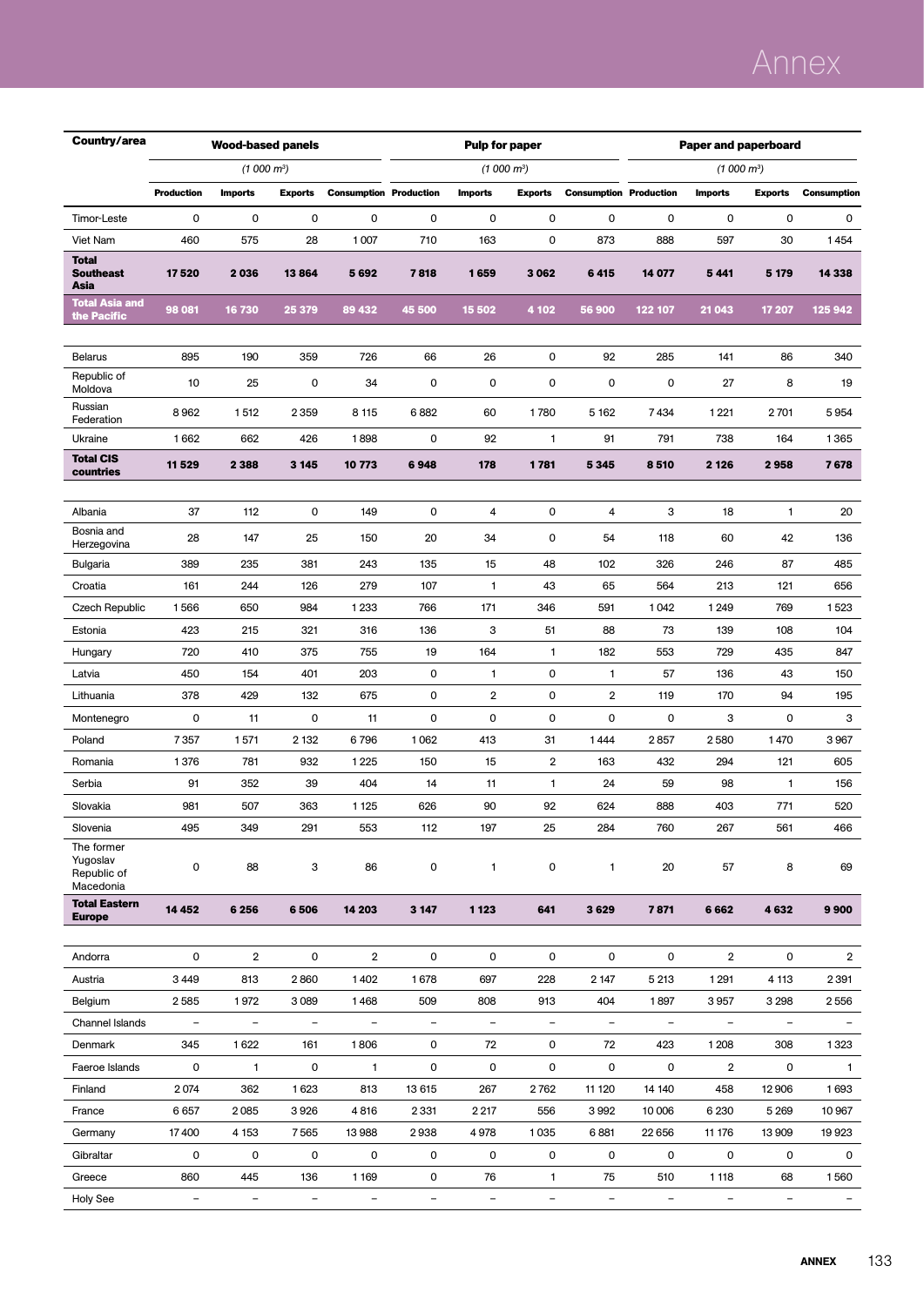# Annex

| Country/area                                       |                          | <b>Wood-based panels</b> |                          |                               |                          | <b>Pulp for paper</b>    |                          |                               |                          | <b>Paper and paperboard</b> |                          |                    |  |  |
|----------------------------------------------------|--------------------------|--------------------------|--------------------------|-------------------------------|--------------------------|--------------------------|--------------------------|-------------------------------|--------------------------|-----------------------------|--------------------------|--------------------|--|--|
|                                                    |                          | $(1000 m^3)$             |                          |                               |                          | $(1000 \text{ m}^3)$     |                          |                               |                          | $(1000 \text{ m}^3)$        |                          |                    |  |  |
|                                                    | <b>Production</b>        | <b>Imports</b>           | <b>Exports</b>           | <b>Consumption Production</b> |                          | <b>Imports</b>           | <b>Exports</b>           | <b>Consumption Production</b> |                          | <b>Imports</b>              | <b>Exports</b>           | <b>Consumption</b> |  |  |
| Timor-Leste                                        | 0                        | 0                        | 0                        | 0                             | 0                        | 0                        | $\mathbf 0$              | 0                             | 0                        | 0                           | $\mathbf 0$              | 0                  |  |  |
| Viet Nam                                           | 460                      | 575                      | 28                       | 1007                          | 710                      | 163                      | $\mathbf 0$              | 873                           | 888                      | 597                         | 30                       | 1454               |  |  |
| <b>Total</b><br><b>Southeast</b><br>Asia           | 17520                    | 2036                     | 13864                    | 5692                          | 7818                     | 1659                     | 3 0 6 2                  | 6415                          | 14 077                   | 5 4 4 1                     | 5 1 7 9                  | 14 3 38            |  |  |
| <b>Total Asia and</b><br>the Pacific               | 98 081                   | 16 730                   | 25 379                   | 89 432                        | 45 500                   | 15 502                   | 4 102                    | 56 900                        | 122 107                  | 21 043                      | 17 207                   | 125 942            |  |  |
|                                                    |                          |                          |                          |                               |                          |                          |                          |                               |                          |                             |                          |                    |  |  |
| <b>Belarus</b>                                     | 895                      | 190                      | 359                      | 726                           | 66                       | 26                       | $\mathbf 0$              | 92                            | 285                      | 141                         | 86                       | 340                |  |  |
| Republic of<br>Moldova                             | 10                       | 25                       | 0                        | 34                            | 0                        | 0                        | $\mathbf 0$              | 0                             | 0                        | 27                          | 8                        | 19                 |  |  |
| Russian<br>Federation                              | 8962                     | 1512                     | 2 3 5 9                  | 8 1 1 5                       | 6882                     | 60                       | 1780                     | 5 1 6 2                       | 7434                     | 1 2 2 1                     | 2701                     | 5954               |  |  |
| Ukraine                                            | 1662                     | 662                      | 426                      | 1898                          | 0                        | 92                       | 1                        | 91                            | 791                      | 738                         | 164                      | 1365               |  |  |
| <b>Total CIS</b><br>countries                      | 11 529                   | 2 3 8 8                  | 3 1 4 5                  | 10773                         | 6948                     | 178                      | 1781                     | 5345                          | 8510                     | 2 1 2 6                     | 2958                     | 7678               |  |  |
|                                                    |                          |                          |                          |                               |                          |                          |                          |                               |                          |                             |                          |                    |  |  |
| Albania                                            | 37                       | 112                      | 0                        | 149                           | 0                        | 4                        | $\mathbf 0$              | 4                             | 3                        | 18                          | 1                        | 20                 |  |  |
| Bosnia and<br>Herzegovina                          | 28                       | 147                      | 25                       | 150                           | 20                       | 34                       | $\mathbf 0$              | 54                            | 118                      | 60                          | 42                       | 136                |  |  |
| Bulgaria                                           | 389                      | 235                      | 381                      | 243                           | 135                      | 15                       | 48                       | 102                           | 326                      | 246                         | 87                       | 485                |  |  |
| Croatia                                            | 161                      | 244                      | 126                      | 279                           | 107                      | 1                        | 43                       | 65                            | 564                      | 213                         | 121                      | 656                |  |  |
| Czech Republic                                     | 1566                     | 650                      | 984                      | 1 2 3 3                       | 766                      | 171                      | 346                      | 591                           | 1042                     | 1 2 4 9                     | 769                      | 1523               |  |  |
| Estonia                                            | 423                      | 215                      | 321                      | 316                           | 136                      | 3                        | 51                       | 88                            | 73                       | 139                         | 108                      | 104                |  |  |
| Hungary                                            | 720                      | 410                      | 375                      | 755                           | 19                       | 164                      | 1                        | 182                           | 553                      | 729                         | 435                      | 847                |  |  |
| Latvia                                             | 450                      | 154                      | 401                      | 203                           | 0                        | 1                        | $\mathbf 0$              | 1                             | 57                       | 136                         | 43                       | 150                |  |  |
| Lithuania                                          | 378                      | 429                      | 132                      | 675                           | 0                        | 2                        | $\mathbf 0$              | $\overline{2}$                | 119                      | 170                         | 94                       | 195                |  |  |
| Montenegro                                         | 0                        | 11                       | 0                        | 11                            | 0                        | 0                        | $\mathbf 0$              | 0                             | 0                        | 3                           | 0                        | з                  |  |  |
| Poland                                             | 7357                     | 1571                     | 2 1 3 2                  | 6796                          | 1062                     | 413                      | 31                       | 1444                          | 2857                     | 2580                        | 1470                     | 3967               |  |  |
| Romania                                            | 1376                     | 781                      | 932                      | 1 2 2 5                       | 150                      | 15                       | $\overline{\mathbf{2}}$  | 163                           | 432                      | 294                         | 121                      | 605                |  |  |
| Serbia                                             | 91                       | 352                      | 39                       | 404                           | 14                       | 11                       | $\mathbf{1}$             | 24                            | 59                       | 98                          | 1                        | 156                |  |  |
| Slovakia                                           | 981                      | 507                      | 363                      | 1 1 2 5                       | 626                      | 90                       | 92                       | 624                           | 888                      | 403                         | 771                      | 520                |  |  |
| Slovenia                                           | 495                      | 349                      | 291                      | 553                           | 112                      | 197                      | 25                       | 284                           | 760                      | 267                         | 561                      | 466                |  |  |
| The former<br>Yugoslav<br>Republic of<br>Macedonia | 0                        | 88                       | 3                        | 86                            | 0                        | $\mathbf{1}$             | 0                        | $\mathbf{1}$                  | 20                       | 57                          | 8                        | 69                 |  |  |
| <b>Total Eastern</b>                               | 14 4 5 2                 | 6 2 5 6                  | 6506                     | 14 203                        | 3 1 4 7                  | 1 1 2 3                  | 641                      | 3629                          | 7871                     | 6662                        | 4632                     | 9900               |  |  |
| <b>Europe</b>                                      |                          |                          |                          |                               |                          |                          |                          |                               |                          |                             |                          |                    |  |  |
| Andorra                                            | 0                        | $\overline{\mathbf{2}}$  | 0                        | $\overline{2}$                | 0                        | 0                        | $\mathbf 0$              | 0                             | $\pmb{0}$                | $\overline{2}$              | 0                        | $\overline{2}$     |  |  |
| Austria                                            | 3 4 4 9                  | 813                      | 2860                     | 1402                          | 1678                     | 697                      | 228                      | 2 147                         | 5 2 1 3                  | 1 2 9 1                     | 4 1 1 3                  | 2 3 9 1            |  |  |
| Belgium                                            | 2585                     | 1972                     | 3 0 8 9                  | 1468                          | 509                      | 808                      | 913                      | 404                           | 1897                     | 3957                        | 3 2 9 8                  | 2556               |  |  |
| Channel Islands                                    | $\overline{\phantom{a}}$ | $\overline{\phantom{0}}$ | $\overline{\phantom{a}}$ | -                             | $\overline{\phantom{a}}$ | $\overline{\phantom{0}}$ | $\overline{\phantom{a}}$ | $\overline{\phantom{0}}$      | $\overline{\phantom{a}}$ | $\overline{\phantom{a}}$    |                          |                    |  |  |
| Denmark                                            | 345                      | 1622                     | 161                      | 1806                          | 0                        | 72                       | 0                        | 72                            | 423                      | 1 2 0 8                     | 308                      | 1323               |  |  |
| Faeroe Islands                                     | 0                        | $\mathbf{1}$             | 0                        | $\mathbf{1}$                  | 0                        | 0                        | 0                        | 0                             | 0                        | $\overline{2}$              | 0                        | $\mathbf{1}$       |  |  |
| Finland                                            | 2074                     | 362                      | 1623                     | 813                           | 13 615                   | 267                      | 2762                     | 11 120                        | 14 140                   | 458                         | 12 906                   | 1693               |  |  |
| France                                             | 6657                     | 2085                     | 3926                     | 4816                          | 2331                     | 2 2 1 7                  | 556                      | 3992                          | 10 006                   | 6 2 3 0                     | 5 2 6 9                  | 10967              |  |  |
| Germany                                            | 17400                    | 4 1 5 3                  | 7565                     | 13 988                        | 2938                     | 4978                     | 1035                     | 6881                          | 22 656                   | 11 176                      | 13 909                   | 19923              |  |  |
| Gibraltar                                          | 0                        | 0                        | 0                        | 0                             | 0                        | 0                        | 0                        | 0                             | 0                        | 0                           | 0                        | $\mathbf 0$        |  |  |
| Greece                                             | 860                      | 445                      | 136                      | 1 1 6 9                       | 0                        | 76                       | 1                        | 75                            | 510                      | 1 1 1 8                     | 68                       | 1560               |  |  |
| Holy See                                           | $\overline{\phantom{a}}$ | $\overline{\phantom{a}}$ | $\overline{\phantom{a}}$ | $\overline{\phantom{a}}$      | $\overline{\phantom{a}}$ | $\overline{\phantom{a}}$ | $\overline{\phantom{a}}$ | $\qquad \qquad -$             | $\overline{\phantom{a}}$ | $\overline{\phantom{a}}$    | $\overline{\phantom{a}}$ |                    |  |  |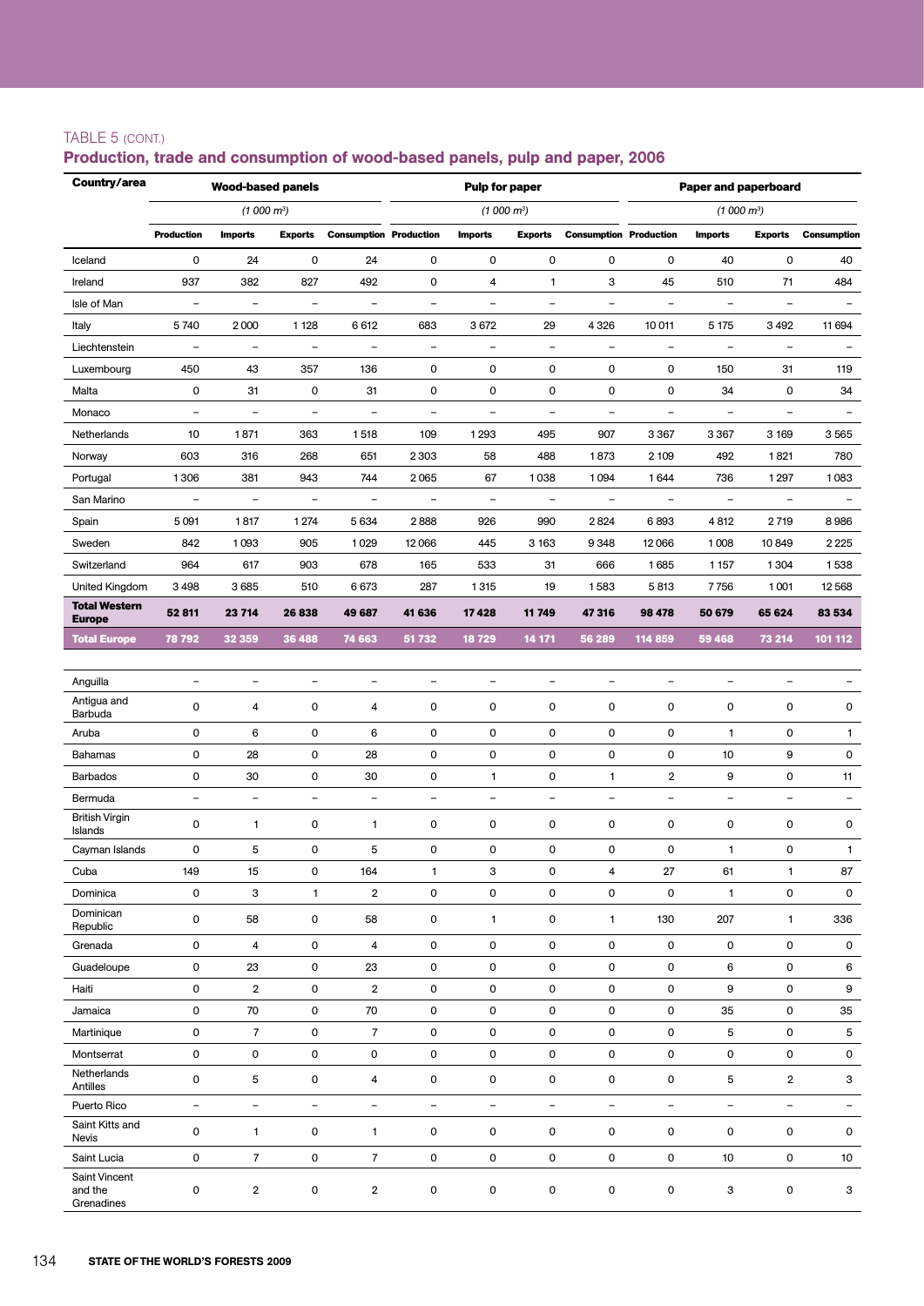### TABLE 5 (cont.)

#### Production, trade and consumption of wood-based panels, pulp and paper, 2006

| Country/area                           |                          | <b>Wood-based panels</b> |                          |                               |                          | <b>Pulp for paper</b>    |                          |                               | <b>Paper and paperboard</b> |                          |                          |                          |  |
|----------------------------------------|--------------------------|--------------------------|--------------------------|-------------------------------|--------------------------|--------------------------|--------------------------|-------------------------------|-----------------------------|--------------------------|--------------------------|--------------------------|--|
|                                        |                          | (1000 m <sup>3</sup> )   |                          |                               |                          | (1000 m <sup>3</sup> )   |                          |                               |                             | (1000 m <sup>3</sup> )   |                          |                          |  |
|                                        | <b>Production</b>        | <b>Imports</b>           | <b>Exports</b>           | <b>Consumption Production</b> |                          | <b>Imports</b>           | <b>Exports</b>           | <b>Consumption Production</b> |                             | <b>Imports</b>           | <b>Exports</b>           | <b>Consumption</b>       |  |
| Iceland                                | 0                        | 24                       | 0                        | 24                            | 0                        | 0                        | 0                        | 0                             | 0                           | 40                       | 0                        | 40                       |  |
| Ireland                                | 937                      | 382                      | 827                      | 492                           | 0                        | 4                        | $\mathbf{1}$             | з                             | 45                          | 510                      | 71                       | 484                      |  |
| Isle of Man                            | $\overline{a}$           | $\qquad \qquad -$        | $\qquad \qquad -$        | $\qquad \qquad -$             | $\overline{\phantom{a}}$ | -                        | $\overline{\phantom{a}}$ | $\overline{\phantom{a}}$      | $\qquad \qquad -$           | $\qquad \qquad -$        | $\overline{\phantom{a}}$ |                          |  |
| Italy                                  | 5740                     | 2000                     | 1 1 2 8                  | 6612                          | 683                      | 3672                     | 29                       | 4 3 2 6                       | 10 011                      | 5 1 7 5                  | 3492                     | 11 694                   |  |
| Liechtenstein                          | $\qquad \qquad -$        | $\overline{\phantom{a}}$ | $\qquad \qquad -$        | $\overline{\phantom{a}}$      | $\overline{\phantom{a}}$ | $\overline{\phantom{a}}$ | $\overline{\phantom{a}}$ | $\overline{\phantom{a}}$      | $\overline{\phantom{a}}$    | $\overline{\phantom{a}}$ | $\overline{\phantom{a}}$ |                          |  |
| Luxembourg                             | 450                      | 43                       | 357                      | 136                           | 0                        | 0                        | 0                        | 0                             | 0                           | 150                      | 31                       | 119                      |  |
| Malta                                  | 0                        | 31                       | 0                        | 31                            | 0                        | 0                        | $\mathsf 0$              | 0                             | 0                           | 34                       | 0                        | 34                       |  |
| Monaco                                 | $\overline{\phantom{0}}$ | $\overline{\phantom{0}}$ | $\overline{\phantom{0}}$ | $\overline{\phantom{0}}$      | $\overline{\phantom{a}}$ | $\overline{\phantom{0}}$ | $\overline{\phantom{a}}$ | $\blacksquare$                | $\overline{\phantom{a}}$    | $\overline{\phantom{a}}$ | $\overline{\phantom{a}}$ | $\overline{\phantom{a}}$ |  |
| Netherlands                            | 10                       | 1871                     | 363                      | 1518                          | 109                      | 1293                     | 495                      | 907                           | 3 3 6 7                     | 3 3 6 7                  | 3 1 6 9                  | 3565                     |  |
| Norway                                 | 603                      | 316                      | 268                      | 651                           | 2303                     | 58                       | 488                      | 1873                          | 2 109                       | 492                      | 1821                     | 780                      |  |
| Portugal                               | 1306                     | 381                      | 943                      | 744                           | 2065                     | 67                       | 1038                     | 1094                          | 1644                        | 736                      | 1 2 9 7                  | 1083                     |  |
| San Marino                             | $\qquad \qquad -$        | $\overline{\phantom{0}}$ | $\overline{\phantom{0}}$ | $\overline{\phantom{0}}$      | $\overline{\phantom{a}}$ | $\overline{\phantom{0}}$ | $\overline{\phantom{a}}$ | $\overline{\phantom{a}}$      | $\overline{\phantom{a}}$    | $\overline{\phantom{a}}$ | $\overline{\phantom{a}}$ |                          |  |
| Spain                                  | 5091                     | 1817                     | 1 2 7 4                  | 5634                          | 2888                     | 926                      | 990                      | 2824                          | 6893                        | 4812                     | 2719                     | 8986                     |  |
| Sweden                                 | 842                      | 1093                     | 905                      | 1029                          | 12066                    | 445                      | 3 1 6 3                  | 9348                          | 12066                       | 1008                     | 10849                    | 2225                     |  |
| Switzerland                            | 964                      | 617                      | 903                      | 678                           | 165                      | 533                      | 31                       | 666                           | 1685                        | 1 1 5 7                  | 1304                     | 1538                     |  |
| United Kingdom                         | 3 4 9 8                  | 3685                     | 510                      | 6673                          | 287                      | 1315                     | 19                       | 1583                          | 5813                        | 7756                     | 1001                     | 12568                    |  |
| <b>Total Western</b><br><b>Europe</b>  | 52 811                   | 23 714                   | 26838                    | 49 687                        | 41 636                   | 17428                    | 11 749                   | 47316                         | 98 478                      | 50 679                   | 65 624                   | 83 534                   |  |
| <b>Total Europe</b>                    | 78 792                   | 32 359                   | 36 488                   | 74 663                        | 51 732                   | 18729                    | 14 171                   | 56 289                        | 114 859                     | 59 468                   | 73 214                   | 101 112                  |  |
|                                        |                          |                          |                          |                               |                          |                          |                          |                               |                             |                          |                          |                          |  |
| Anguilla                               | $\qquad \qquad -$        | $\overline{\phantom{0}}$ | $\qquad \qquad -$        | $\overline{\phantom{0}}$      | $\qquad \qquad -$        | $\overline{\phantom{0}}$ | $\overline{\phantom{a}}$ | $\qquad \qquad -$             | $\qquad \qquad -$           | $\overline{\phantom{0}}$ | $\overline{\phantom{a}}$ |                          |  |
| Antigua and<br>Barbuda                 | 0                        | 4                        | 0                        | 4                             | 0                        | 0                        | 0                        | 0                             | 0                           | 0                        | 0                        | 0                        |  |
| Aruba                                  | 0                        | 6                        | 0                        | 6                             | 0                        | 0                        | 0                        | 0                             | 0                           | 1                        | 0                        | $\mathbf{1}$             |  |
| Bahamas                                | 0                        | 28                       | 0                        | 28                            | $\mathsf 0$              | 0                        | 0                        | 0                             | $\pmb{0}$                   | 10                       | 9                        | 0                        |  |
| <b>Barbados</b>                        | 0                        | 30                       | 0                        | 30                            | 0                        | $\mathbf{1}$             | 0                        | $\mathbf{1}$                  | $\overline{2}$              | 9                        | 0                        | 11                       |  |
| Bermuda                                | $\qquad \qquad -$        | $\overline{\phantom{0}}$ | $\equiv$                 | $\equiv$                      | $\overline{\phantom{0}}$ | $\overline{\phantom{0}}$ | $\equiv$                 | $\blacksquare$                | $\blacksquare$              | $\overline{\phantom{0}}$ | $\blacksquare$           | $\overline{\phantom{a}}$ |  |
| <b>British Virgin</b><br>Islands       | 0                        | 1                        | 0                        | 1                             | 0                        | 0                        | 0                        | 0                             | 0                           | 0                        | 0                        | 0                        |  |
| Cayman Islands                         | 0                        | 5                        | 0                        | 5                             | 0                        | 0                        | $\mathsf 0$              | 0                             | $\pmb{0}$                   | 1                        | $\pmb{0}$                | 1                        |  |
| Cuba                                   | 149                      | 15                       | 0                        | 164                           | 1                        | 3                        | 0                        | 4                             | 27                          | 61                       | $\mathbf{1}$             | 87                       |  |
| Dominica                               | 0                        | 3                        | $\mathbf{1}$             | $\overline{2}$                | 0                        | 0                        | 0                        | 0                             | 0                           | $\mathbf{1}$             | 0                        | 0                        |  |
| Dominican<br>Republic                  | 0                        | 58                       | 0                        | 58                            | 0                        | $\mathbf{1}$             | 0                        | $\mathbf{1}$                  | 130                         | 207                      | $\mathbf{1}$             | 336                      |  |
| Grenada                                | 0                        | 4                        | 0                        | 4                             | 0                        | 0                        | 0                        | 0                             | $\mathsf 0$                 | 0                        | 0                        | 0                        |  |
| Guadeloupe                             | 0                        | 23                       | 0                        | 23                            | $\mathsf 0$              | 0                        | 0                        | 0                             | $\pmb{0}$                   | 6                        | $\pmb{0}$                | 6                        |  |
| Haiti                                  | 0                        | $\overline{2}$           | 0                        | 2                             | 0                        | 0                        | 0                        | 0                             | 0                           | 9                        | 0                        | 9                        |  |
| Jamaica                                | $\mathsf 0$              | 70                       | 0                        | 70                            | 0                        | 0                        | 0                        | 0                             | 0                           | 35                       | 0                        | 35                       |  |
| Martinique                             | 0                        | $\overline{7}$           | 0                        | $\overline{7}$                | 0                        | 0                        | 0                        | 0                             | $\pmb{0}$                   | 5                        | $\pmb{0}$                | 5                        |  |
| Montserrat                             | 0                        | 0                        | 0                        | 0                             | 0                        | 0                        | 0                        | 0                             | 0                           | 0                        | 0                        | $\mathsf{O}$             |  |
| Netherlands<br>Antilles                | $\mathsf 0$              | 5                        | 0                        | 4                             | 0                        | 0                        | 0                        | 0                             | 0                           | 5                        | $\overline{\mathbf{c}}$  | 3                        |  |
| Puerto Rico                            | $\overline{\phantom{a}}$ | $\overline{\phantom{a}}$ | $\overline{\phantom{a}}$ | $\overline{\phantom{a}}$      | $\overline{\phantom{a}}$ | $\overline{\phantom{0}}$ | $\overline{\phantom{a}}$ | $\overline{\phantom{a}}$      | $\overline{\phantom{a}}$    | $\overline{\phantom{a}}$ | $\overline{\phantom{a}}$ | $\equiv$                 |  |
| Saint Kitts and<br>Nevis               | 0                        | $\mathbf{1}$             | 0                        | $\mathbf{1}$                  | 0                        | 0                        | 0                        | 0                             | $\mathsf 0$                 | 0                        | 0                        | 0                        |  |
| Saint Lucia                            | 0                        | $\overline{7}$           | 0                        | $\overline{7}$                | 0                        | 0                        | 0                        | 0                             | 0                           | 10                       | 0                        | 10                       |  |
| Saint Vincent<br>and the<br>Grenadines | 0                        | $\boldsymbol{2}$         | 0                        | $\overline{\mathbf{2}}$       | $\mathsf 0$              | 0                        | 0                        | 0                             | $\pmb{0}$                   | 3                        | $\pmb{0}$                | 3                        |  |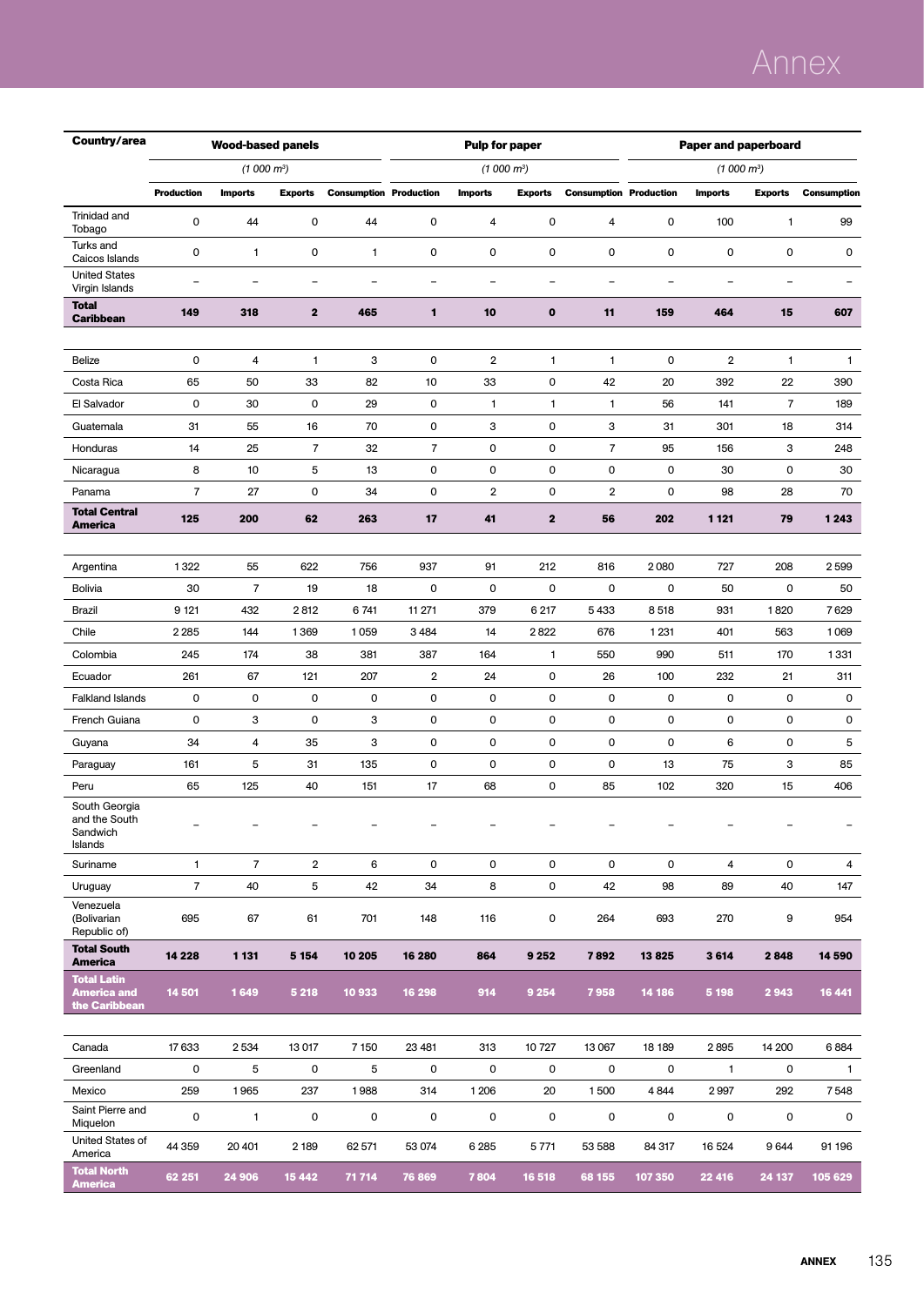# Annex

| Country/area                                              |                          | <b>Wood-based panels</b> |                     |                               |                               | <b>Pulp for paper</b>    |                            |                               | <b>Paper and paperboard</b> |                          |                          |                    |  |
|-----------------------------------------------------------|--------------------------|--------------------------|---------------------|-------------------------------|-------------------------------|--------------------------|----------------------------|-------------------------------|-----------------------------|--------------------------|--------------------------|--------------------|--|
|                                                           |                          | (1000 m <sup>3</sup> )   |                     |                               |                               | $(1000 \text{ m}^3)$     |                            |                               |                             | (1000 m <sup>3</sup> )   |                          |                    |  |
|                                                           | <b>Production</b>        | <b>Imports</b>           | <b>Exports</b>      | <b>Consumption Production</b> |                               | <b>Imports</b>           | <b>Exports</b>             | <b>Consumption Production</b> |                             | <b>Imports</b>           | <b>Exports</b>           | <b>Consumption</b> |  |
| Trinidad and<br>Tobago                                    | 0                        | 44                       | 0                   | 44                            | $\mathbf 0$                   | 4                        | 0                          | 4                             | 0                           | 100                      | 1                        | 99                 |  |
| Turks and<br>Caicos Islands                               | 0                        | 1                        | 0                   | 1                             | $\mathbf 0$                   | 0                        | $\mathbf 0$                | 0                             | 0                           | 0                        | 0                        | 0                  |  |
| <b>United States</b><br>Virgin Islands                    | $\overline{\phantom{0}}$ | $\overline{\phantom{a}}$ | $\equiv$            | $\overline{\phantom{0}}$      | $\overline{\phantom{0}}$      | $\overline{\phantom{0}}$ | $\overline{a}$             | $\overline{\phantom{0}}$      | $\overline{\phantom{a}}$    | $\overline{\phantom{a}}$ | $\overline{\phantom{0}}$ | ۳                  |  |
| <b>Total</b><br><b>Caribbean</b>                          | 149                      | 318                      | $\mathbf{2}$        | 465                           | 1                             | 10                       | $\bf{0}$                   | 11                            | 159                         | 464                      | 15                       | 607                |  |
|                                                           |                          |                          |                     |                               |                               |                          |                            |                               |                             |                          |                          |                    |  |
| Belize                                                    | 0                        | 4                        | $\mathbf{1}$        | 3                             | $\mathbf 0$                   | 2                        | $\mathbf{1}$               | $\mathbf{1}$                  | 0                           | $\boldsymbol{2}$         | 1                        | 1                  |  |
| Costa Rica                                                | 65                       | 50                       | 33                  | 82                            | 10                            | 33                       | $\mathsf 0$                | 42                            | 20                          | 392                      | 22                       | 390                |  |
| El Salvador                                               | 0                        | 30                       | 0                   | 29                            | $\mathbf 0$                   | 1                        | $\mathbf{1}$               | $\mathbf{1}$                  | 56                          | 141                      | 7                        | 189                |  |
| Guatemala                                                 | 31                       | 55                       | 16                  | 70                            | 0                             | 3                        | 0                          | з<br>$\overline{7}$           | 31                          | 301                      | 18                       | 314                |  |
| Honduras                                                  | 14<br>8                  | 25<br>10                 | $\overline{7}$<br>5 | 32                            | $\overline{7}$<br>$\mathsf 0$ | 0<br>0                   | $\mathsf 0$<br>$\mathsf 0$ | 0                             | 95<br>0                     | 156<br>30                | 3<br>0                   | 248                |  |
| Nicaragua<br>Panama                                       | $\overline{7}$           | 27                       | 0                   | 13<br>34                      | 0                             | $\overline{2}$           | 0                          | $\overline{2}$                | 0                           | 98                       | 28                       | 30<br>70           |  |
| <b>Total Central</b>                                      |                          |                          |                     |                               |                               |                          |                            |                               |                             |                          |                          |                    |  |
| America                                                   | 125                      | 200                      | 62                  | 263                           | 17                            | 41                       | $\mathbf{2}$               | 56                            | 202                         | 1 1 2 1                  | 79                       | 1243               |  |
|                                                           |                          |                          |                     |                               |                               |                          |                            |                               |                             |                          |                          |                    |  |
| Argentina                                                 | 1322                     | 55                       | 622                 | 756                           | 937                           | 91                       | 212                        | 816                           | 2080                        | 727                      | 208                      | 2599               |  |
| <b>Bolivia</b>                                            | 30                       | $\overline{7}$           | 19                  | 18                            | $\mathbf 0$                   | 0                        | $\mathsf 0$                | 0                             | 0                           | 50                       | 0                        | 50                 |  |
| Brazil                                                    | 9 1 21                   | 432                      | 2812                | 6741                          | 11 271                        | 379                      | 6 217                      | 5433                          | 8518                        | 931                      | 1820                     | 7629               |  |
| Chile                                                     | 2 2 8 5                  | 144                      | 1369                | 1059                          | 3 4 8 4                       | 14                       | 2822                       | 676                           | 1 2 3 1                     | 401                      | 563                      | 1069               |  |
| Colombia                                                  | 245                      | 174                      | 38                  | 381                           | 387                           | 164                      | $\mathbf{1}$               | 550                           | 990                         | 511                      | 170                      | 1331               |  |
| Ecuador                                                   | 261                      | 67                       | 121                 | 207                           | $\boldsymbol{2}$              | 24                       | 0                          | 26                            | 100                         | 232                      | 21                       | 311                |  |
| <b>Falkland Islands</b>                                   | 0                        | 0                        | $\mathsf 0$         | 0                             | $\mathbf 0$                   | 0                        | $\mathsf 0$                | 0                             | 0                           | 0                        | 0                        | 0                  |  |
| French Guiana                                             | 0                        | 3                        | $\mathsf 0$         | 3                             | $\mathbf 0$                   | 0                        | $\mathsf 0$                | 0                             | 0                           | 0                        | 0                        | 0                  |  |
| Guyana                                                    | 34                       | 4                        | 35                  | 3                             | $\mathbf 0$                   | 0                        | 0                          | 0                             | $\pmb{0}$                   | 6                        | 0                        | 5                  |  |
| Paraguay                                                  | 161                      | 5                        | 31                  | 135                           | $\mathbf 0$                   | 0                        | 0                          | 0                             | 13                          | 75                       | 3                        | 85                 |  |
| Peru                                                      | 65                       | 125                      | 40                  | 151                           | 17                            | 68                       | $\mathsf 0$                | 85                            | 102                         | 320                      | 15                       | 406                |  |
| South Georgia<br>and the South<br>Sandwich<br>Islands     |                          |                          | -                   |                               |                               |                          | -                          |                               |                             |                          |                          |                    |  |
| Suriname                                                  | $\mathbf{1}$             | $\overline{7}$           | $\overline{2}$      | 6                             | 0                             | 0                        | 0                          | 0                             | 0                           | 4                        | 0                        | $\overline{4}$     |  |
| Uruguay                                                   | $\overline{7}$           | 40                       | 5                   | 42                            | 34                            | 8                        | 0                          | 42                            | 98                          | 89                       | 40                       | 147                |  |
| Venezuela<br>(Bolivarian<br>Republic of)                  | 695                      | 67                       | 61                  | 701                           | 148                           | 116                      | 0                          | 264                           | 693                         | 270                      | 9                        | 954                |  |
| <b>Total South</b><br><b>America</b>                      | 14 2 28                  | 1 1 3 1                  | 5 1 5 4             | 10 205                        | 16 280                        | 864                      | 9 2 5 2                    | 7892                          | 13825                       | 3614                     | 2848                     | 14 590             |  |
| <b>Total Latin</b><br><b>America and</b><br>the Caribbean | 14 501                   | 1649                     | 5 2 1 8             | 10933                         | 16 298                        | 914                      | 9 2 5 4                    | 7958                          | 14 186                      | 5 1 9 8                  | 2943                     | 16 441             |  |
| Canada                                                    | 17633                    | 2534                     | 13 017              | 7 1 5 0                       | 23 4 81                       | 313                      | 10727                      | 13 067                        | 18 189                      | 2895                     | 14 200                   | 6884               |  |
| Greenland                                                 | 0                        | 5                        | 0                   | 5                             | 0                             | 0                        | 0                          | 0                             | 0                           | $\mathbf{1}$             | 0                        | $\mathbf{1}$       |  |
| Mexico                                                    | 259                      | 1965                     | 237                 | 1988                          | 314                           | 1 2 0 6                  | 20                         | 1500                          | 4844                        | 2997                     | 292                      | 7548               |  |
| Saint Pierre and<br>Miquelon                              | 0                        | $\mathbf{1}$             | 0                   | 0                             | 0                             | 0                        | 0                          | 0                             | 0                           | 0                        | 0                        | 0                  |  |
| United States of<br>America                               | 44 359                   | 20 401                   | 2 189               | 62 571                        | 53 074                        | 6 2 8 5                  | 5771                       | 53 588                        | 84 317                      | 16 524                   | 9644                     | 91 196             |  |
| <b>Total North</b><br><b>America</b>                      | 62 251                   | 24 906                   | 15 4 42             | 71 714                        | 76 869                        | 7804                     | 16 518                     | 68 155                        | 107 350                     | 22 416                   | 24 137                   | 105 629            |  |